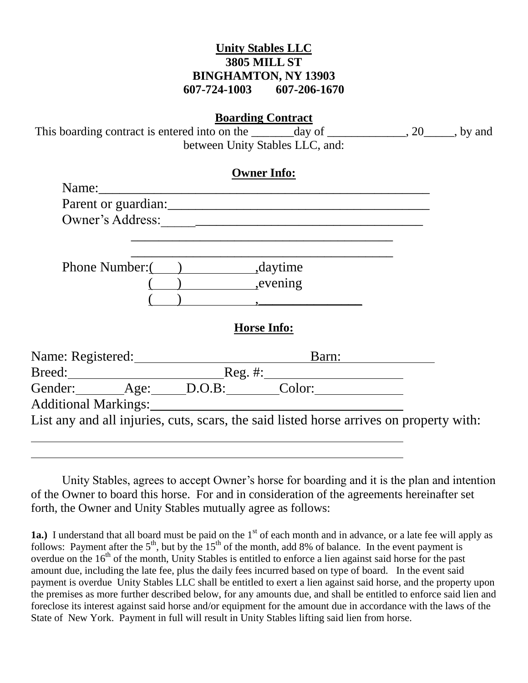## **Unity Stables LLC 3805 MILL ST BINGHAMTON, NY 13903 607-724-1003 607-206-1670**

This boarding contract is entered into on the \_\_\_\_\_\_day of \_\_\_\_\_\_\_\_\_, 20\_\_\_\_, by and between Unity Stables LLC, and:

|                             | Parent or guardian: |  |
|-----------------------------|---------------------|--|
| Owner's Address:            |                     |  |
| <b>Phone Number:</b>        | , daytime           |  |
|                             | , evening           |  |
|                             |                     |  |
|                             | <b>Horse Info:</b>  |  |
| Name: Registered:           | Barn:               |  |
| Breed:                      | Reg. #:             |  |
| Gender: Age: D.O.B: Color:  |                     |  |
| <b>Additional Markings:</b> |                     |  |

Unity Stables, agrees to accept Owner's horse for boarding and it is the plan and intention of the Owner to board this horse. For and in consideration of the agreements hereinafter set forth, the Owner and Unity Stables mutually agree as follows:

**1a.**) I understand that all board must be paid on the 1<sup>st</sup> of each month and in advance, or a late fee will apply as follows: Payment after the  $5<sup>th</sup>$ , but by the  $15<sup>th</sup>$  of the month, add 8% of balance. In the event payment is overdue on the 16<sup>th</sup> of the month, Unity Stables is entitled to enforce a lien against said horse for the past amount due, including the late fee, plus the daily fees incurred based on type of board. In the event said payment is overdue Unity Stables LLC shall be entitled to exert a lien against said horse, and the property upon the premises as more further described below, for any amounts due, and shall be entitled to enforce said lien and foreclose its interest against said horse and/or equipment for the amount due in accordance with the laws of the State of New York. Payment in full will result in Unity Stables lifting said lien from horse.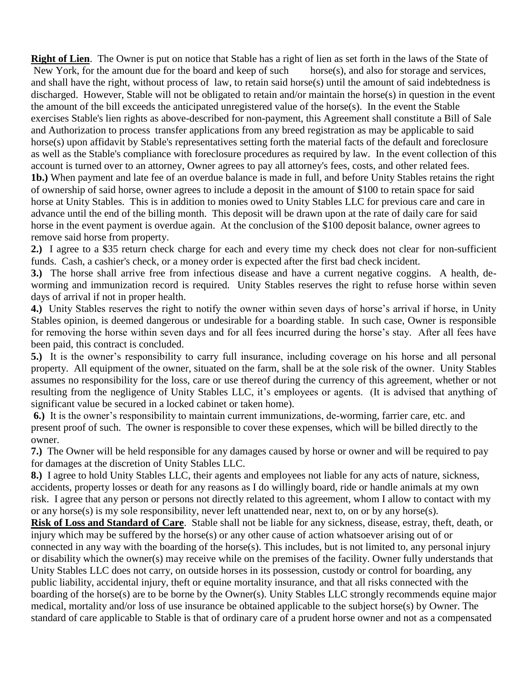**Right of Lien**. The Owner is put on notice that Stable has a right of lien as set forth in the laws of the State of New York, for the amount due for the board and keep of such horse(s), and also for storage and services, and shall have the right, without process of law, to retain said horse(s) until the amount of said indebtedness is discharged. However, Stable will not be obligated to retain and/or maintain the horse(s) in question in the event the amount of the bill exceeds the anticipated unregistered value of the horse(s). In the event the Stable exercises Stable's lien rights as above-described for non-payment, this Agreement shall constitute a Bill of Sale and Authorization to process transfer applications from any breed registration as may be applicable to said horse(s) upon affidavit by Stable's representatives setting forth the material facts of the default and foreclosure as well as the Stable's compliance with foreclosure procedures as required by law. In the event collection of this account is turned over to an attorney, Owner agrees to pay all attorney's fees, costs, and other related fees. **1b.)** When payment and late fee of an overdue balance is made in full, and before Unity Stables retains the right of ownership of said horse, owner agrees to include a deposit in the amount of \$100 to retain space for said horse at Unity Stables. This is in addition to monies owed to Unity Stables LLC for previous care and care in advance until the end of the billing month. This deposit will be drawn upon at the rate of daily care for said horse in the event payment is overdue again. At the conclusion of the \$100 deposit balance, owner agrees to remove said horse from property.

**2.)** I agree to a \$35 return check charge for each and every time my check does not clear for non-sufficient funds. Cash, a cashier's check, or a money order is expected after the first bad check incident.

**3.)** The horse shall arrive free from infectious disease and have a current negative coggins. A health, deworming and immunization record is required. Unity Stables reserves the right to refuse horse within seven days of arrival if not in proper health.

**4.)** Unity Stables reserves the right to notify the owner within seven days of horse's arrival if horse, in Unity Stables opinion, is deemed dangerous or undesirable for a boarding stable. In such case, Owner is responsible for removing the horse within seven days and for all fees incurred during the horse's stay. After all fees have been paid, this contract is concluded.

**5.)** It is the owner's responsibility to carry full insurance, including coverage on his horse and all personal property. All equipment of the owner, situated on the farm, shall be at the sole risk of the owner. Unity Stables assumes no responsibility for the loss, care or use thereof during the currency of this agreement, whether or not resulting from the negligence of Unity Stables LLC, it's employees or agents. (It is advised that anything of significant value be secured in a locked cabinet or taken home).

**6.)** It is the owner's responsibility to maintain current immunizations, de-worming, farrier care, etc. and present proof of such. The owner is responsible to cover these expenses, which will be billed directly to the owner.

**7.)** The Owner will be held responsible for any damages caused by horse or owner and will be required to pay for damages at the discretion of Unity Stables LLC.

**8.)** I agree to hold Unity Stables LLC, their agents and employees not liable for any acts of nature, sickness, accidents, property losses or death for any reasons as I do willingly board, ride or handle animals at my own risk. I agree that any person or persons not directly related to this agreement, whom I allow to contact with my or any horse(s) is my sole responsibility, never left unattended near, next to, on or by any horse(s).

**Risk of Loss and Standard of Care**. Stable shall not be liable for any sickness, disease, estray, theft, death, or injury which may be suffered by the horse(s) or any other cause of action whatsoever arising out of or connected in any way with the boarding of the horse(s). This includes, but is not limited to, any personal injury or disability which the owner(s) may receive while on the premises of the facility. Owner fully understands that Unity Stables LLC does not carry, on outside horses in its possession, custody or control for boarding, any public liability, accidental injury, theft or equine mortality insurance, and that all risks connected with the boarding of the horse(s) are to be borne by the Owner(s). Unity Stables LLC strongly recommends equine major medical, mortality and/or loss of use insurance be obtained applicable to the subject horse(s) by Owner. The standard of care applicable to Stable is that of ordinary care of a prudent horse owner and not as a compensated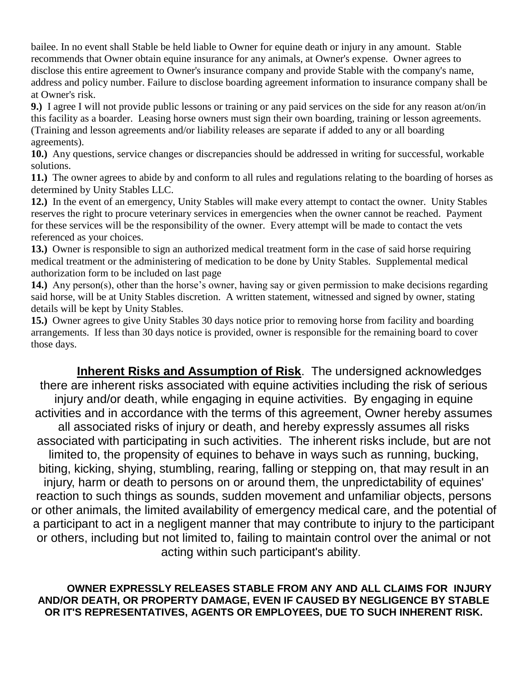bailee. In no event shall Stable be held liable to Owner for equine death or injury in any amount. Stable recommends that Owner obtain equine insurance for any animals, at Owner's expense. Owner agrees to disclose this entire agreement to Owner's insurance company and provide Stable with the company's name, address and policy number. Failure to disclose boarding agreement information to insurance company shall be at Owner's risk.

**9.)** I agree I will not provide public lessons or training or any paid services on the side for any reason at/on/in this facility as a boarder. Leasing horse owners must sign their own boarding, training or lesson agreements. (Training and lesson agreements and/or liability releases are separate if added to any or all boarding agreements).

**10.)** Any questions, service changes or discrepancies should be addressed in writing for successful, workable solutions.

**11.)** The owner agrees to abide by and conform to all rules and regulations relating to the boarding of horses as determined by Unity Stables LLC.

**12.)** In the event of an emergency, Unity Stables will make every attempt to contact the owner. Unity Stables reserves the right to procure veterinary services in emergencies when the owner cannot be reached. Payment for these services will be the responsibility of the owner. Every attempt will be made to contact the vets referenced as your choices.

**13.)** Owner is responsible to sign an authorized medical treatment form in the case of said horse requiring medical treatment or the administering of medication to be done by Unity Stables. Supplemental medical authorization form to be included on last page

**14.)** Any person(s), other than the horse's owner, having say or given permission to make decisions regarding said horse, will be at Unity Stables discretion. A written statement, witnessed and signed by owner, stating details will be kept by Unity Stables.

**15.)** Owner agrees to give Unity Stables 30 days notice prior to removing horse from facility and boarding arrangements. If less than 30 days notice is provided, owner is responsible for the remaining board to cover those days.

**Inherent Risks and Assumption of Risk**. The undersigned acknowledges there are inherent risks associated with equine activities including the risk of serious injury and/or death, while engaging in equine activities. By engaging in equine activities and in accordance with the terms of this agreement, Owner hereby assumes all associated risks of injury or death, and hereby expressly assumes all risks associated with participating in such activities. The inherent risks include, but are not limited to, the propensity of equines to behave in ways such as running, bucking, biting, kicking, shying, stumbling, rearing, falling or stepping on, that may result in an injury, harm or death to persons on or around them, the unpredictability of equines' reaction to such things as sounds, sudden movement and unfamiliar objects, persons or other animals, the limited availability of emergency medical care, and the potential of a participant to act in a negligent manner that may contribute to injury to the participant or others, including but not limited to, failing to maintain control over the animal or not acting within such participant's ability.

## **OWNER EXPRESSLY RELEASES STABLE FROM ANY AND ALL CLAIMS FOR INJURY AND/OR DEATH, OR PROPERTY DAMAGE, EVEN IF CAUSED BY NEGLIGENCE BY STABLE OR IT'S REPRESENTATIVES, AGENTS OR EMPLOYEES, DUE TO SUCH INHERENT RISK.**